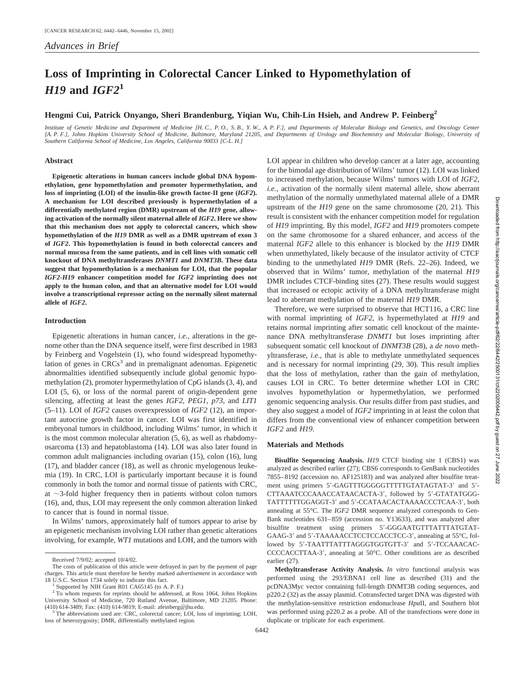# **Loss of Imprinting in Colorectal Cancer Linked to Hypomethylation of** *H19* **and** *IGF2***<sup>1</sup>**

# **Hengmi Cui, Patrick Onyango, Sheri Brandenburg, Yiqian Wu, Chih-Lin Hsieh, and Andrew P. Feinberg2**

*Institute of Genetic Medicine and Department of Medicine [H. C., P. O., S. B., Y. W., A. P. F.], and Departments of Molecular Biology and Genetics, and Oncology Center [A. P. F.], Johns Hopkins University School of Medicine, Baltimore, Maryland 21205, and Departments of Urology and Biochemistry and Molecular Biology, University of Southern California School of Medicine, Los Angeles, California 90033 [C-L. H.]*

## **Abstract**

**Epigenetic alterations in human cancers include global DNA hypomethylation, gene hypomethylation and promoter hypermethylation, and loss of imprinting (LOI) of the insulin-like growth factor-II gene (***IGF2***). A mechanism for LOI described previously is hypermethylation of a differentially methylated region (DMR) upstream of the** *H19* **gene, allowing activation of the normally silent maternal allele of** *IGF2***. Here we show that this mechanism does not apply to colorectal cancers, which show hypomethylation of the** *H19* **DMR as well as a DMR upstream of exon 3 of** *IGF2***. This hypomethylation is found in both colorectal cancers and normal mucosa from the same patients, and in cell lines with somatic cell knockout of DNA methyltransferases** *DNMT1* **and** *DNMT3B***. These data suggest that hypomethylation is a mechanism for LOI, that the popular** *IGF2***-***H19* **enhancer competition model for** *IGF2* **imprinting does not apply to the human colon, and that an alternative model for LOI would involve a transcriptional repressor acting on the normally silent maternal allele of** *IGF2***.**

#### **Introduction**

Epigenetic alterations in human cancer, *i.e.,* alterations in the genome other than the DNA sequence itself, were first described in 1983 by Feinberg and Vogelstein (1), who found widespread hypomethylation of genes in  $CRCs<sup>3</sup>$  and in premalignant adenomas. Epigenetic abnormalities identified subsequently include global genomic hypomethylation (2), promoter hypermethylation of CpG islands (3, 4), and LOI (5, 6), or loss of the normal parent of origin-dependent gene silencing, affecting at least the genes *IGF2*, *PEG1*, *p73*, and *LIT1* (5–11). LOI of *IGF2* causes overexpression of *IGF2* (12), an important autocrine growth factor in cancer. LOI was first identified in embryonal tumors in childhood, including Wilms' tumor, in which it is the most common molecular alteration (5, 6), as well as rhabdomyosarcoma (13) and hepatoblastoma (14). LOI was also later found in common adult malignancies including ovarian (15), colon (16), lung (17), and bladder cancer (18), as well as chronic myelogenous leukemia (19). In CRC, LOI is particularly important because it is found commonly in both the tumor and normal tissue of patients with CRC, at  $\sim$ 3-fold higher frequency then in patients without colon tumors (16), and, thus, LOI may represent the only common alteration linked to cancer that is found in normal tissue.

In Wilms' tumors, approximately half of tumors appear to arise by an epigenetic mechanism involving LOI rather than genetic alterations involving, for example, *WT1* mutations and LOH, and the tumors with LOI appear in children who develop cancer at a later age, accounting for the bimodal age distribution of Wilms' tumor (12). LOI was linked to increased methylation, because Wilms' tumors with LOI of *IGF2*, *i.e.,* activation of the normally silent maternal allele, show aberrant methylation of the normally unmethylated maternal allele of a DMR upstream of the *H19* gene on the same chromosome (20, 21). This result is consistent with the enhancer competition model for regulation of *H19* imprinting. By this model, *IGF2* and *H19* promoters compete on the same chromosome for a shared enhancer, and access of the maternal *IGF2* allele to this enhancer is blocked by the *H19* DMR when unmethylated, likely because of the insulator activity of CTCF binding to the unmethylated *H19* DMR (Refs. 22–26). Indeed, we observed that in Wilms' tumor, methylation of the maternal *H19* DMR includes CTCF-binding sites (27). These results would suggest that increased or ectopic activity of a DNA methyltransferase might lead to aberrant methylation of the maternal *H19* DMR.

Therefore, we were surprised to observe that HCT116, a CRC line with normal imprinting of *IGF2*, is hypermethylated at *H19* and retains normal imprinting after somatic cell knockout of the maintenance DNA methyltransferase *DNMT1* but loses imprinting after subsequent somatic cell knockout of *DNMT3B* (28), a *de novo* methyltransferase, *i.e.,* that is able to methylate unmethylated sequences and is necessary for normal imprinting (29, 30). This result implies that the loss of methylation, rather than the gain of methylation, causes LOI in CRC. To better determine whether LOI in CRC involves hypomethylation or hypermethylation, we performed genomic sequencing analysis. Our results differ from past studies, and they also suggest a model of *IGF2* imprinting in at least the colon that differs from the conventional view of enhancer competition between *IGF2* and *H19*.

## **Materials and Methods**

**Bisulfite Sequencing Analysis.** *H19* CTCF binding site 1 (CBS1) was analyzed as described earlier (27); CBS6 corresponds to GenBank nucleotides 7855–8192 (accession no. AF125183) and was analyzed after bisulfite treatment using primers 5'-GAGTTTGGGGGTTTTTGTATAGTAT-3' and 5'-CTTAAATCCCAAACCATAACACTA-3', followed by 5'-GTATATGGG-TATTTTTTGGAGGT-3' and 5'-CCATAACACTAAAACCCTCAA-3', both annealing at 55°C. The *IGF2* DMR sequence analyzed corresponds to Gen-Bank nucleotides 631–859 (accession no. Y13633), and was analyzed after bisulfite treatment using primers 5'-GGGAATGTTTATTTATGTAT-GAAG-3' and 5'-TAAAAACCTCCTCCACCTCC-3', annealing at 55°C, followed by 5'-TAATTTATTTAGGGTGGTGTT-3' and 5'-TCCAAACAC-CCCCACCTTAA-3', annealing at 50°C. Other conditions are as described earlier (27).

Received 7/9/02; accepted 10/4/02.

The costs of publication of this article were defrayed in part by the payment of page charges. This article must therefore be hereby marked *advertisement* in accordance with

<sup>18</sup> U.S.C. Section 1734 solely to indicate this fact. <sup>1</sup> Supported by NIH Grant R01 CA65145 (to A. P. F.)

<sup>&</sup>lt;sup>2</sup> To whom requests for reprints should be addressed, at Ross 1064, Johns Hopkins University School of Medicine, 720 Rutland Avenue, Baltimore, MD 21205. Phone: (410) 614-3489; Fax: (410) 614-9819; E-mail: afeinberg@jhu.edu.

The abbreviations used are: CRC, colorectal cancer; LOI, loss of imprinting; LOH, loss of heterozygosity; DMR, differentially methylated region.

**Methyltransferase Activity Analysis.** *In vitro* functional analysis was performed using the 293/EBNA1 cell line as described (31) and the pcDNA3Myc vector containing full-length DNMT3B coding sequences, and p220.2 (32) as the assay plasmid. Cotransfected target DNA was digested with the methylation-sensitive restriction endonuclease *Hpa*II, and Southern blot was performed using p220.2 as a probe. All of the transfections were done in duplicate or triplicate for each experiment.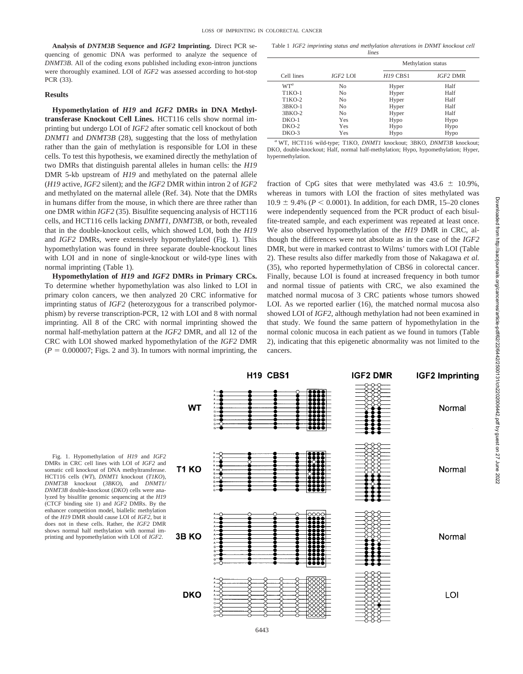**Analysis of** *DNTM3B* **Sequence and** *IGF2* **Imprinting.** Direct PCR sequencing of genomic DNA was performed to analyze the sequence of *DNMT3B*. All of the coding exons published including exon-intron junctions were thoroughly examined. LOI of *IGF2* was assessed according to hot-stop PCR (33).

### **Results**

**Hypomethylation of** *H19* **and** *IGF2* **DMRs in DNA Methyltransferase Knockout Cell Lines.** HCT116 cells show normal imprinting but undergo LOI of *IGF2* after somatic cell knockout of both *DNMT1* and *DNMT3B* (28), suggesting that the loss of methylation rather than the gain of methylation is responsible for LOI in these cells. To test this hypothesis, we examined directly the methylation of two DMRs that distinguish parental alleles in human cells: the *H19* DMR 5-kb upstream of *H19* and methylated on the paternal allele (*H19* active, *IGF2* silent); and the *IGF2* DMR within intron 2 of *IGF2* and methylated on the maternal allele (Ref. 34). Note that the DMRs in humans differ from the mouse, in which there are three rather than one DMR within *IGF2* (35). Bisulfite sequencing analysis of HCT116 cells, and HCT116 cells lacking *DNMT1*, *DNMT3B,* or both, revealed that in the double-knockout cells, which showed LOI, both the *H19* and *IGF2* DMRs, were extensively hypomethylated (Fig. 1). This hypomethylation was found in three separate double-knockout lines with LOI and in none of single-knockout or wild-type lines with normal imprinting (Table 1).

**Hypomethylation of** *H19* **and** *IGF2* **DMRs in Primary CRCs.** To determine whether hypomethylation was also linked to LOI in primary colon cancers, we then analyzed 20 CRC informative for imprinting status of *IGF2* (heterozygous for a transcribed polymorphism) by reverse transcription-PCR, 12 with LOI and 8 with normal imprinting. All 8 of the CRC with normal imprinting showed the normal half-methylation pattern at the *IGF2* DMR, and all 12 of the CRC with LOI showed marked hypomethylation of the *IGF2* DMR  $(P = 0.000007;$  Figs. 2 and 3). In tumors with normal imprinting, the

Table 1 *IGF2 imprinting status and methylation alterations in DNMT knockout cell lines*

| Cell lines      | IGF2 LOI       | Methylation status |          |
|-----------------|----------------|--------------------|----------|
|                 |                | <b>H19 CBS1</b>    | IGF2 DMR |
| WT <sup>a</sup> | N <sub>0</sub> | Hyper              | Half     |
| $TIKO-1$        | N <sub>0</sub> | Hyper              | Half     |
| T1KO-2          | N <sub>0</sub> | Hyper              | Half     |
| $3BKO-1$        | N <sub>0</sub> | Hyper              | Half     |
| $3BKO-2$        | N <sub>0</sub> | Hyper              | Half     |
| $DKO-1$         | Yes            | Hypo               | Hypo     |
| $DKO-2$         | Yes            | Hypo               | Hypo     |
| $DKO-3$         | Yes            | Hypo               | Hypo     |

*<sup>a</sup>* WT, HCT116 wild-type; T1KO, *DNMT1* knockout; 3BKO, *DNMT3B* knockout; DKO, double-knockout; Half, normal half-methylation; Hypo, hypomethylation; Hyper, hypermethylation.

fraction of CpG sites that were methylated was  $43.6 \pm 10.9\%$ , whereas in tumors with LOI the fraction of sites methylated was  $10.9 \pm 9.4\%$  ( $P < 0.0001$ ). In addition, for each DMR, 15–20 clones were independently sequenced from the PCR product of each bisulfite-treated sample, and each experiment was repeated at least once. We also observed hypomethylation of the *H19* DMR in CRC, although the differences were not absolute as in the case of the *IGF2* DMR, but were in marked contrast to Wilms' tumors with LOI (Table 2). These results also differ markedly from those of Nakagawa *et al.* (35), who reported hypermethylation of CBS6 in colorectal cancer. Finally, because LOI is found at increased frequency in both tumor and normal tissue of patients with CRC, we also examined the matched normal mucosa of 3 CRC patients whose tumors showed LOI. As we reported earlier (16), the matched normal mucosa also showed LOI of *IGF2*, although methylation had not been examined in that study. We found the same pattern of hypomethylation in the normal colonic mucosa in each patient as we found in tumors (Table 2), indicating that this epigenetic abnormality was not limited to the cancers.

**IGF2 DMR** 

Downloaded from http://aacrjournals.org/cancerres/article-pdf/62/22/6442/2500131/ch2202006442.pdf by guest on 27 June 2022 Downloaded from http://aacrjournals.org/cancerres/article-pdf/62/22/6442/2500131/ch2202006442.pdf by guest on 27 June 2022

**IGF2 Imprinting** 

Fig. 1. Hypomethylation of *H19* and *IGF2* DMRs in CRC cell lines with LOI of *IGF2* and somatic cell knockout of DNA methyltransferase. HCT116 cells (*WT*), *DNMT1* knockout (*T1KO*), *DNMT3B* knockout (*3BKO*), and *DNMT1/ DNMT3B* double-knockout (*DKO*) cells were analyzed by bisulfite genomic sequencing at the *H19* (CTCF binding site 1) and *IGF2* DMRs. By the enhancer competition model, biallelic methylation of the *H19* DMR should cause LOI of *IGF2*, but it does not in these cells. Rather, the *IGF2* DMR shows normal half methylation with normal imprinting and hypomethylation with LOI of *IGF2*.



H19 CBS1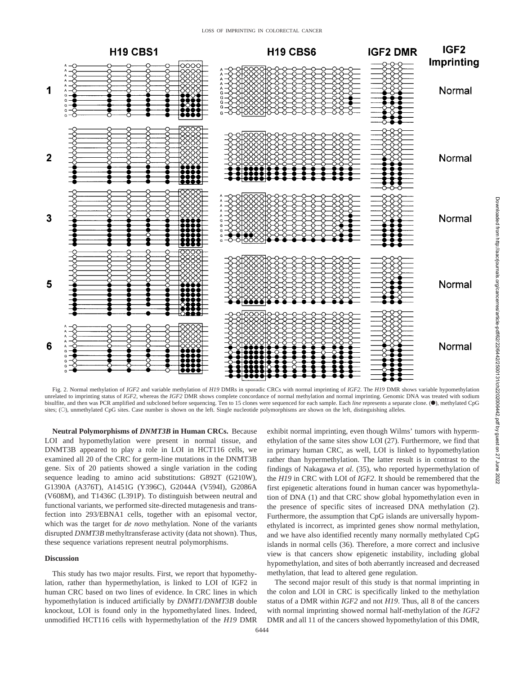

Fig. 2. Normal methylation of *IGF2* and variable methylation of *H19* DMRs in sporadic CRCs with normal imprinting of *IGF2*. The *H19* DMR shows variable hypomethylation unrelated to imprinting status of *IGF2*, whereas the *IGF2* DMR shows complete concordance of normal methylation and normal imprinting. Genomic DNA was treated with sodium bisulfite, and then was PCR amplified and subcloned before sequencing. Ten to 15 clones were sequenced for each sample. Each *line* represents a separate clone. (.), methylated CpG sites; (O), unmethylated CpG sites. Case number is shown on the left. Single nucleotide polymorphisms are shown on the left, distinguishing alleles.

**Neutral Polymorphisms of** *DNMT3B* **in Human CRCs.** Because LOI and hypomethylation were present in normal tissue, and DNMT3B appeared to play a role in LOI in HCT116 cells, we examined all 20 of the CRC for germ-line mutations in the DNMT3B gene. Six of 20 patients showed a single variation in the coding sequence leading to amino acid substitutions: G892T (G210W), G1390A (A376T), A1451G (Y396C), G2044A (V594I), G2086A (V608M), and T1436C (L391P). To distinguish between neutral and functional variants, we performed site-directed mutagenesis and transfection into 293/EBNA1 cells, together with an episomal vector, which was the target for *de novo* methylation. None of the variants disrupted *DNMT3B* methyltransferase activity (data not shown). Thus, these sequence variations represent neutral polymorphisms.

### **Discussion**

This study has two major results. First, we report that hypomethylation, rather than hypermethylation, is linked to LOI of IGF2 in human CRC based on two lines of evidence. In CRC lines in which hypomethylation is induced artificially by *DNMT1/DNMT3B* double knockout, LOI is found only in the hypomethylated lines. Indeed, unmodified HCT116 cells with hypermethylation of the *H19* DMR exhibit normal imprinting, even though Wilms' tumors with hypermethylation of the same sites show LOI (27). Furthermore, we find that in primary human CRC, as well, LOI is linked to hypomethylation rather than hypermethylation. The latter result is in contrast to the findings of Nakagawa *et al.* (35)*,* who reported hypermethylation of the *H19* in CRC with LOI of *IGF2*. It should be remembered that the first epigenetic alterations found in human cancer was hypomethylation of DNA (1) and that CRC show global hypomethylation even in the presence of specific sites of increased DNA methylation (2). Furthermore, the assumption that CpG islands are universally hypomethylated is incorrect, as imprinted genes show normal methylation, and we have also identified recently many normally methylated CpG islands in normal cells (36). Therefore, a more correct and inclusive view is that cancers show epigenetic instability, including global hypomethylation, and sites of both aberrantly increased and decreased methylation, that lead to altered gene regulation.

The second major result of this study is that normal imprinting in the colon and LOI in CRC is specifically linked to the methylation status of a DMR within *IGF2* and not *H19*. Thus, all 8 of the cancers with normal imprinting showed normal half-methylation of the *IGF2* DMR and all 11 of the cancers showed hypomethylation of this DMR,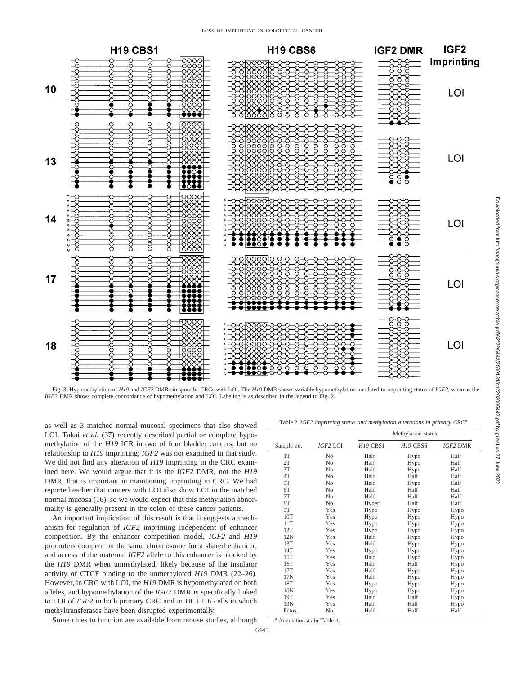#### LOSS OF IMPRINTING IN COLORECTAL CANCER



Fig. 3. Hypomethylation of *H19* and *IGF2* DMRs in sporadic CRCs with LOI. The *H19* DMR shows variable hypomethylation unrelated to imprinting status of *IGF2*, whereas the *IGF2* DMR shows complete concordance of hypomethylation and LOI. Labeling is as described in the legend to Fig. 2.

as well as 3 matched normal mucosal specimens that also showed LOI. Takai et al. (37) recently described partial or complete hypomethylation of the *H19* ICR in two of four bladder cancers, but no relationship to *H19* imprinting; *IGF2* was not examined in that study. We did not find any alteration of *H19* imprinting in the CRC examined here. We would argue that it is the *IGF2* DMR, not the *H19* DMR, that is important in maintaining imprinting in CRC. We had reported earlier that cancers with LOI also show LOI in the matched normal mucosa (16), so we would expect that this methylation abnormality is generally present in the colon of these cancer patients.

An important implication of this result is that it suggests a mechanism for regulation of *IGF2* imprinting independent of enhancer competition. By the enhancer competition model, *IGF2* and *H19* promoters compete on the same chromosome for a shared enhancer, and access of the maternal *IGF2* allele to this enhancer is blocked by the *H19* DMR when unmethylated, likely because of the insulator activity of CTCF binding to the unmethylated *H19* DMR (22–26). However, in CRC with LOI, the *H19* DMR is hypomethylated on both alleles, and hypomethylation of the *IGF2* DMR is specifically linked to LOI of *IGF2* in both primary CRC and in HCT116 cells in which methyltransferases have been disrupted experimentally.

Some clues to function are available from mouse studies, although

Table 2 *IGF2 imprinting status and methylation alterations in primary CRC<sup>a</sup>*

|            |                | Methylation status |                 |                 |
|------------|----------------|--------------------|-----------------|-----------------|
| Sample no. | IGF2 LOI       | H19 CBS1           | <b>H19 CBS6</b> | <b>IGF2 DMR</b> |
| 1T         | No             | Half               | Hypo            | Half            |
| 2T         | N <sub>o</sub> | Half               | Hypo            | Half            |
| 3T         | No             | Half               | Hypo            | Half            |
| 4T         | N <sub>0</sub> | Half               | Half            | Half            |
| 5T         | No             | Half               | Hypo            | Half            |
| 6T         | N <sub>o</sub> | Half               | Half            | Half            |
| 7T         | No             | Half               | Half            | Half            |
| 8T         | N <sub>o</sub> | Hyper              | Half            | Half            |
| 9Τ         | Yes            | Hypo               | Hypo            | Hypo            |
| 10T        | Yes            | Hypo               | Hypo            | Hypo            |
| 11T        | Yes            | Hypo               | Hypo            | Hypo            |
| 12T        | Yes            | Hypo               | Hypo            | Hypo            |
| 12N        | Yes            | Half               | Hypo            | Hypo            |
| 13T        | Yes            | Half               | Hypo            | Hypo            |
| 14T        | Yes            | Hypo               | Hypo            | Hypo            |
| 15T        | Yes            | Half               | Hypo            | Hypo            |
| 16T        | Yes            | Half               | Half            | Hypo            |
| 17T        | Yes            | Half               | Hypo            | Hypo            |
| 17N        | Yes            | Half               | Hypo            | Hypo            |
| 18T        | Yes            | Hypo               | Hypo            | Hypo            |
| 18N        | Yes            | Hypo               | Hypo            | Hypo            |
| 19T        | Yes            | Half               | Half            | Hypo            |
| 19N        | Yes            | Half               | Half            | Hypo            |
| Fetus      | No             | Half               | Half            | Half            |

*<sup>a</sup>* Annotation as in Table 1.